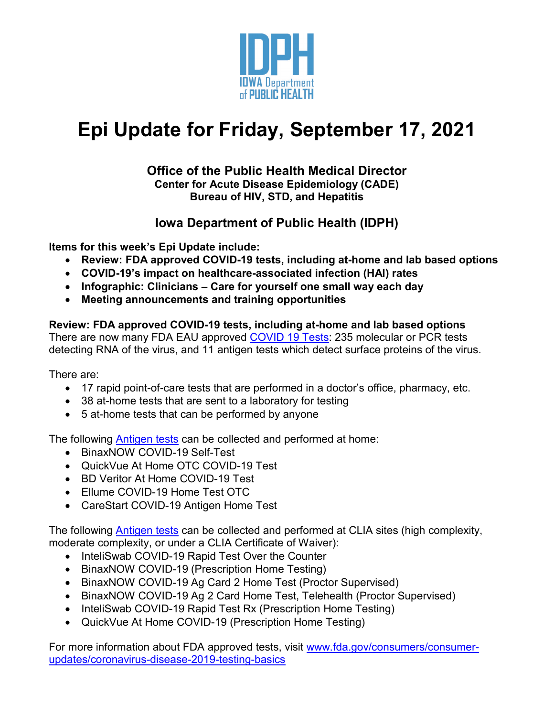

# **Epi Update for Friday, September 17, 2021**

# **Office of the Public Health Medical Director Center for Acute Disease Epidemiology (CADE) Bureau of HIV, STD, and Hepatitis**

# **Iowa Department of Public Health (IDPH)**

**Items for this week's Epi Update include:**

- **Review: FDA approved COVID-19 tests, including at-home and lab based options**
- **COVID-19's impact on healthcare-associated infection (HAI) rates**
- **Infographic: Clinicians – Care for yourself one small way each day**
- **Meeting announcements and training opportunities**

#### **Review: FDA approved COVID-19 tests, including at-home and lab based options**

There are now many FDA EAU approved [COVID 19 Tests:](https://www.fda.gov/medical-devices/coronavirus-covid-19-and-medical-devices/covid-19-tests-and-collection-kits-authorized-fda-2020-infographic) 235 molecular or PCR tests detecting RNA of the virus, and 11 antigen tests which detect surface proteins of the virus.

There are:

- 17 rapid point-of-care tests that are performed in a doctor's office, pharmacy, etc.
- 38 at-home tests that are sent to a laboratory for testing
- 5 at-home tests that can be performed by anyone

The following [Antigen tests](https://www.fda.gov/medical-devices/coronavirus-disease-2019-covid-19-emergency-use-authorizations-medical-devices/in-vitro-diagnostics-euas-antigen-diagnostic-tests-sars-cov-2) can be collected and performed at home:

- BinaxNOW COVID-19 Self-Test
- QuickVue At Home OTC COVID-19 Test
- BD Veritor At Home COVID-19 Test
- Ellume COVID-19 Home Test OTC
- CareStart COVID-19 Antigen Home Test

The following [Antigen tests](https://www.fda.gov/medical-devices/coronavirus-disease-2019-covid-19-emergency-use-authorizations-medical-devices/in-vitro-diagnostics-euas-antigen-diagnostic-tests-sars-cov-2) can be collected and performed at CLIA sites (high complexity, moderate complexity, or under a CLIA Certificate of Waiver):

- InteliSwab COVID-19 Rapid Test Over the Counter
- BinaxNOW COVID-19 (Prescription Home Testing)
- BinaxNOW COVID-19 Ag Card 2 Home Test (Proctor Supervised)
- BinaxNOW COVID-19 Ag 2 Card Home Test, Telehealth (Proctor Supervised)
- InteliSwab COVID-19 Rapid Test Rx (Prescription Home Testing)
- QuickVue At Home COVID-19 (Prescription Home Testing)

For more information about FDA approved tests, visit [www.fda.gov/consumers/consumer](http://www.fda.gov/consumers/consumer-updates/coronavirus-disease-2019-testing-basics)[updates/coronavirus-disease-2019-testing-basics](http://www.fda.gov/consumers/consumer-updates/coronavirus-disease-2019-testing-basics)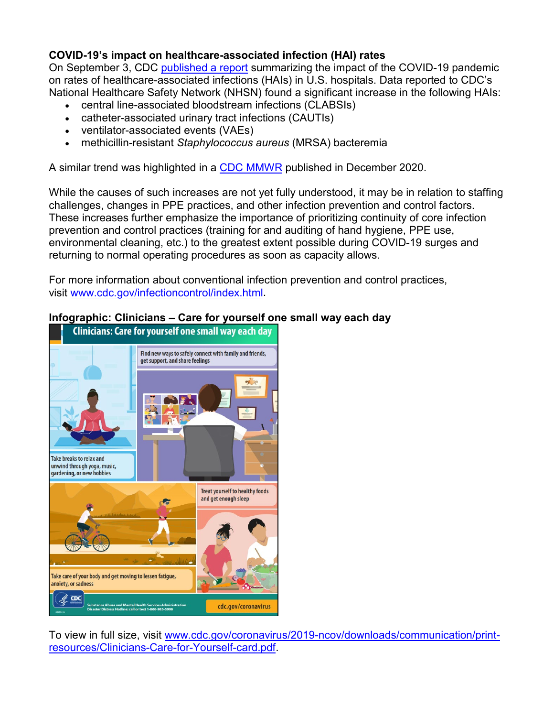# **COVID-19's impact on healthcare-associated infection (HAI) rates**

On September 3, CDC [published a report](https://doi.org/10.1017/ice.2021.362) summarizing the impact of the COVID-19 pandemic on rates of healthcare-associated infections (HAIs) in U.S. hospitals. Data reported to CDC's National Healthcare Safety Network (NHSN) found a significant increase in the following HAIs:

- central line-associated bloodstream infections (CLABSIs)
- catheter-associated urinary tract infections (CAUTIs)
- ventilator-associated events (VAEs)
- methicillin-resistant *Staphylococcus aureus* (MRSA) bacteremia

A similar trend was highlighted in a [CDC MMWR](https://www.cdc.gov/mmwr/volumes/69/wr/mm6948e1.htm) published in December 2020.

While the causes of such increases are not yet fully understood, it may be in relation to staffing challenges, changes in PPE practices, and other infection prevention and control factors. These increases further emphasize the importance of prioritizing continuity of core infection prevention and control practices (training for and auditing of hand hygiene, PPE use, environmental cleaning, etc.) to the greatest extent possible during COVID-19 surges and returning to normal operating procedures as soon as capacity allows.

For more information about conventional infection prevention and control practices, visit [www.cdc.gov/infectioncontrol/index.html.](http://www.cdc.gov/infectioncontrol/index.html)

# **Infographic: Clinicians – [Care for yourself on](https://www.cdc.gov/coronavirus/2019-ncov/downloads/communication/print-resources/Clinicians-Care-for-Yourself-card.pdf)e small way each day**



To view in full size, visit [www.cdc.gov/coronavirus/2019-ncov/downloads/communication/print](http://www.cdc.gov/coronavirus/2019-ncov/downloads/communication/print-resources/Clinicians-Care-for-Yourself-card.pdf)[resources/Clinicians-Care-for-Yourself-card.pdf.](http://www.cdc.gov/coronavirus/2019-ncov/downloads/communication/print-resources/Clinicians-Care-for-Yourself-card.pdf)